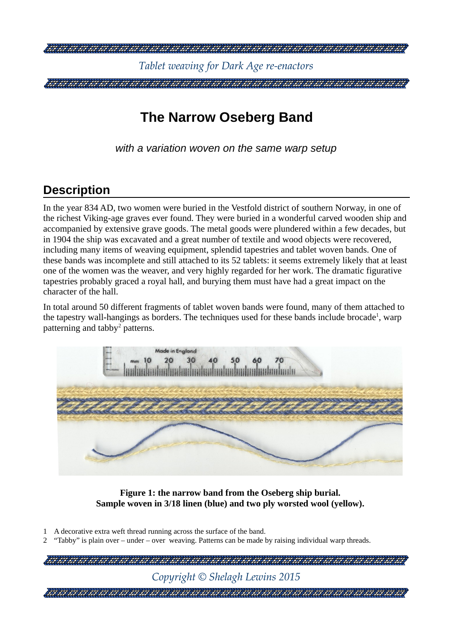

# **The Narrow Oseberg Band**

*with a variation woven on the same warp setup*

### **Description**

In the year 834 AD, two women were buried in the Vestfold district of southern Norway, in one of the richest Viking-age graves ever found. They were buried in a wonderful carved wooden ship and accompanied by extensive grave goods. The metal goods were plundered within a few decades, but in 1904 the ship was excavated and a great number of textile and wood objects were recovered, including many items of weaving equipment, splendid tapestries and tablet woven bands. One of these bands was incomplete and still attached to its 52 tablets: it seems extremely likely that at least one of the women was the weaver, and very highly regarded for her work. The dramatic figurative tapestries probably graced a royal hall, and burying them must have had a great impact on the character of the hall.

In total around 50 different fragments of tablet woven bands were found, many of them attached to the tapestry wall-hangings as borders. The techniques used for these bands include brocade<sup>[1](#page-0-0)</sup>, warp patterning and tabby<sup>[2](#page-0-1)</sup> patterns.



<span id="page-0-2"></span>**Figure 1: the narrow band from the Oseberg ship burial. Sample woven in 3/18 linen (blue) and two ply worsted wool (yellow).**

- <span id="page-0-0"></span>1 A decorative extra weft thread running across the surface of the band.
- <span id="page-0-1"></span>2 "Tabby" is plain over – under – over weaving. Patterns can be made by raising individual warp threads.

| Copyright $\odot$ Shelagh Lewins 2015 |
|---------------------------------------|
|                                       |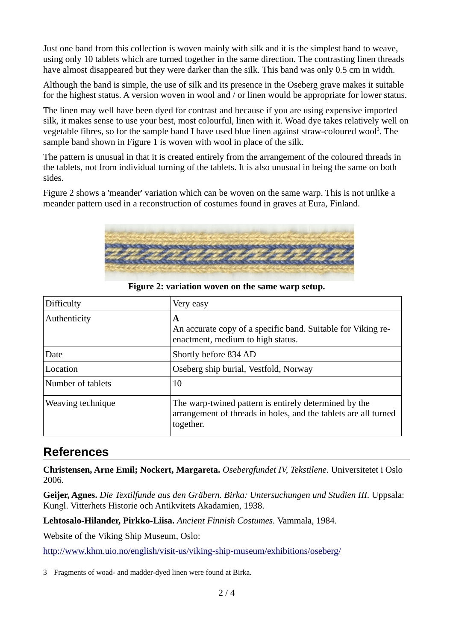Just one band from this collection is woven mainly with silk and it is the simplest band to weave, using only 10 tablets which are turned together in the same direction. The contrasting linen threads have almost disappeared but they were darker than the silk. This band was only 0.5 cm in width.

Although the band is simple, the use of silk and its presence in the Oseberg grave makes it suitable for the highest status. A version woven in wool and / or linen would be appropriate for lower status.

The linen may well have been dyed for contrast and because if you are using expensive imported silk, it makes sense to use your best, most colourful, linen with it. Woad dye takes relatively well on vegetable fibres, so for the sample band I have used blue linen against straw-coloured wool<sup>[3](#page-1-1)</sup>. The sample band shown in [Figure 1](#page-0-2) is woven with wool in place of the silk.

The pattern is unusual in that it is created entirely from the arrangement of the coloured threads in the tablets, not from individual turning of the tablets. It is also unusual in being the same on both sides.

[Figure 2](#page-1-0) shows a 'meander' variation which can be woven on the same warp. This is not unlike a meander pattern used in a reconstruction of costumes found in graves at Eura, Finland.



| Difficulty        | Very easy                                                                                                                             |
|-------------------|---------------------------------------------------------------------------------------------------------------------------------------|
| Authenticity      | A<br>An accurate copy of a specific band. Suitable for Viking re-<br>enactment, medium to high status.                                |
| Date              | Shortly before 834 AD                                                                                                                 |
| Location          | Oseberg ship burial, Vestfold, Norway                                                                                                 |
| Number of tablets | 10                                                                                                                                    |
| Weaving technique | The warp-twined pattern is entirely determined by the<br>arrangement of threads in holes, and the tablets are all turned<br>together. |

<span id="page-1-0"></span>**Figure 2: variation woven on the same warp setup.**

#### **References**

**Christensen, Arne Emil; Nockert, Margareta.** *Osebergfundet IV, Tekstilene.* Universitetet i Oslo 2006.

**Geijer, Agnes.** *Die Textilfunde aus den Gräbern. Birka: Untersuchungen und Studien III.* Uppsala: Kungl. Vitterhets Historie och Antikvitets Akadamien, 1938.

**Lehtosalo-Hilander, Pirkko-Liisa.** *Ancient Finnish Costumes.* Vammala, 1984.

Website of the Viking Ship Museum, Oslo:

<http://www.khm.uio.no/english/visit-us/viking-ship-museum/exhibitions/oseberg/>

<span id="page-1-1"></span>3 Fragments of woad- and madder-dyed linen were found at Birka.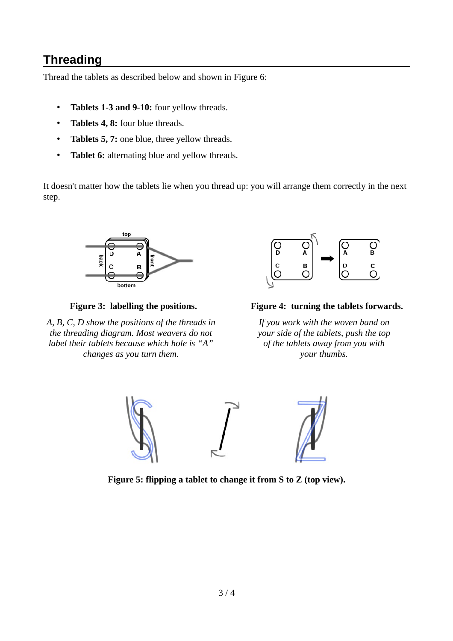## **Threading**

Thread the tablets as described below and shown in [Figure 6:](#page-3-0)

- **Tablets 1-3 and 9-10:** four yellow threads.
- **Tablets 4, 8:** four blue threads.
- **Tablets 5, 7:** one blue, three yellow threads.
- **Tablet 6:** alternating blue and yellow threads.

It doesn't matter how the tablets lie when you thread up: you will arrange them correctly in the next step.



*A, B, C, D show the positions of the threads in the threading diagram. Most weavers do not label their tablets because which hole is "A" changes as you turn them.*



**Figure 3: labelling the positions. Figure 4: turning the tablets forwards.**

*If you work with the woven band on your side of the tablets, push the top of the tablets away from you with your thumbs.*



<span id="page-2-0"></span>**Figure 5: flipping a tablet to change it from S to Z (top view).**